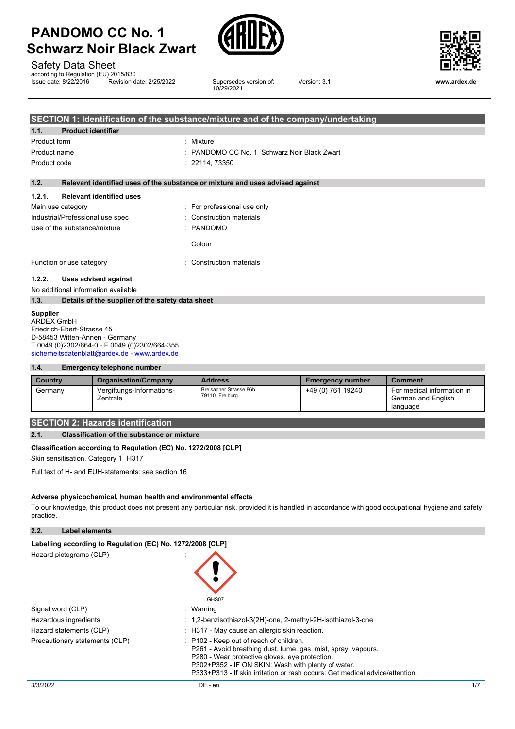

Safety Data Sheet

according to Regulation (EU) 2015/830<br>Issue date: 8/22/2016 Revision date: 2/25/2022

Supersedes version of: 10/29/2021



Version: 3.1 **www.ardex.de**

|                          |                                                  | SECTION 1: Identification of the substance/mixture and of the company/undertaking |
|--------------------------|--------------------------------------------------|-----------------------------------------------------------------------------------|
| 1.1.                     | <b>Product identifier</b>                        |                                                                                   |
| Product form             |                                                  | : Mixture                                                                         |
| Product name             |                                                  | : PANDOMO CC No. 1 Schwarz Noir Black Zwart                                       |
| Product code             |                                                  | : 22114, 73350                                                                    |
| 1.2.                     |                                                  | Relevant identified uses of the substance or mixture and uses advised against     |
| 1.2.1.                   | <b>Relevant identified uses</b>                  |                                                                                   |
| Main use category        |                                                  | : For professional use only                                                       |
|                          | Industrial/Professional use spec                 | : Construction materials                                                          |
|                          | Use of the substance/mixture                     | : PANDOMO                                                                         |
|                          |                                                  | Colour                                                                            |
| Function or use category |                                                  | : Construction materials                                                          |
| 1.2.2.                   | Uses advised against                             |                                                                                   |
|                          | No additional information available              |                                                                                   |
| 1.3.                     | Details of the supplier of the safety data sheet |                                                                                   |

#### **Supplier**

ARDEX GmbH Friedrich-Ebert-Strasse 45 D-58453 Witten-Annen - Germany T 0049 (0)2302/664-0 - F 0049 (0)2302/664-355 [sicherheitsdatenblatt@ardex.de](mailto:sicherheitsdatenblatt@ardex.de) - [www.ardex.de](http://www.ardex.de/)

#### **1.4. Emergency telephone number**

| Country | <b>Organisation/Company</b>           | <b>Address</b>                           | <b>Emergency number</b> | <b>Comment</b>                                               |
|---------|---------------------------------------|------------------------------------------|-------------------------|--------------------------------------------------------------|
| Germany | Vergiftungs-Informations-<br>Zentrale | Breisacher Strasse 86b<br>79110 Freiburg | +49 (0) 761 19240       | For medical information in<br>German and English<br>language |

### **SECTION 2: Hazards identification**

#### **2.1. Classification of the substance or mixture**

#### **Classification according to Regulation (EC) No. 1272/2008 [CLP]**

Skin sensitisation, Category 1 H317

Full text of H- and EUH-statements: see section 16

#### **Adverse physicochemical, human health and environmental effects**

To our knowledge, this product does not present any particular risk, provided it is handled in accordance with good occupational hygiene and safety practice.

**2.2. Label elements**

| Labelling according to Regulation (EC) No. 1272/2008 [CLP] |                                                                                                                                                                                                                                                                                                             |
|------------------------------------------------------------|-------------------------------------------------------------------------------------------------------------------------------------------------------------------------------------------------------------------------------------------------------------------------------------------------------------|
| Hazard pictograms (CLP)                                    | GHS07                                                                                                                                                                                                                                                                                                       |
| Signal word (CLP)                                          | : Warning                                                                                                                                                                                                                                                                                                   |
| Hazardous ingredients                                      | : 1,2-benzisothiazol-3(2H)-one, 2-methyl-2H-isothiazol-3-one                                                                                                                                                                                                                                                |
| Hazard statements (CLP)                                    | $\therefore$ H317 - May cause an allergic skin reaction.                                                                                                                                                                                                                                                    |
| Precautionary statements (CLP)                             | $\therefore$ P102 - Keep out of reach of children.<br>P261 - Avoid breathing dust, fume, gas, mist, spray, vapours.<br>P280 - Wear protective gloves, eve protection.<br>P302+P352 - IF ON SKIN: Wash with plenty of water.<br>P333+P313 - If skin irritation or rash occurs: Get medical advice/attention. |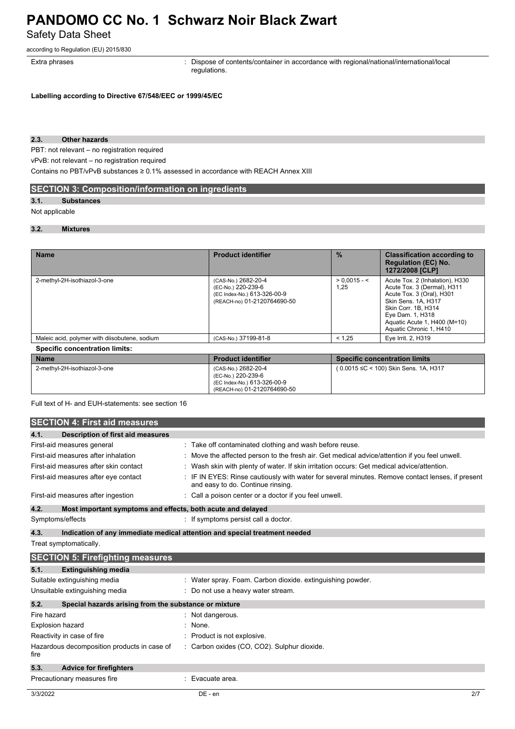Safety Data Sheet

according to Regulation (EU) 2015/830

Extra phrases **in the pharaely contents**: Dispose of contents/container in accordance with regional/national/international/local regulations.

**Labelling according to Directive 67/548/EEC or 1999/45/EC**

#### **2.3. Other hazards**

PBT: not relevant – no registration required

vPvB: not relevant – no registration required

Contains no PBT/vPvB substances ≥ 0.1% assessed in accordance with REACH Annex XIII

### **SECTION 3: Composition/information on ingredients**

#### **3.1. Substances**

#### Not applicable

#### **3.2. Mixtures**

| <b>Name</b>                                   | <b>Product identifier</b>                                                                               | $\frac{0}{2}$          | <b>Classification according to</b><br><b>Regulation (EC) No.</b><br>1272/2008 [CLP]                                                                                                                                      |
|-----------------------------------------------|---------------------------------------------------------------------------------------------------------|------------------------|--------------------------------------------------------------------------------------------------------------------------------------------------------------------------------------------------------------------------|
| 2-methyl-2H-isothiazol-3-one                  | (CAS-No.) 2682-20-4<br>(EC-No.) 220-239-6<br>(EC Index-No.) 613-326-00-9<br>(REACH-no) 01-2120764690-50 | $> 0.0015 - 5$<br>1,25 | Acute Tox. 2 (Inhalation), H330<br>Acute Tox. 3 (Dermal), H311<br>Acute Tox. 3 (Oral), H301<br>Skin Sens. 1A, H317<br>Skin Corr. 1B. H314<br>Eye Dam. 1, H318<br>Aguatic Acute 1, H400 (M=10)<br>Aquatic Chronic 1, H410 |
| Maleic acid, polymer with diisobutene, sodium | (CAS-No.) 37199-81-8                                                                                    | < 1.25                 | Eye Irrit. 2, H319                                                                                                                                                                                                       |
| <b>Specific concentration limits:</b>         |                                                                                                         |                        |                                                                                                                                                                                                                          |

| ∣ Name                       | <b>Product identifier</b>                                                                               | <b>Specific concentration limits</b>        |
|------------------------------|---------------------------------------------------------------------------------------------------------|---------------------------------------------|
| 2-methyl-2H-isothiazol-3-one | (CAS-No.) 2682-20-4<br>(EC-No.) 220-239-6<br>(EC Index-No.) 613-326-00-9<br>(REACH-no) 01-2120764690-50 | $(0.0015 \leq C < 100)$ Skin Sens. 1A, H317 |

Full text of H- and EUH-statements: see section 16

|                            | <b>SECTION 4: First aid measures</b>                        |                                                                                                                                     |
|----------------------------|-------------------------------------------------------------|-------------------------------------------------------------------------------------------------------------------------------------|
| 4.1.                       | <b>Description of first aid measures</b>                    |                                                                                                                                     |
|                            | First-aid measures general                                  | Take off contaminated clothing and wash before reuse.                                                                               |
|                            | First-aid measures after inhalation                         | Move the affected person to the fresh air. Get medical advice/attention if you feel unwell.                                         |
|                            | First-aid measures after skin contact                       | Wash skin with plenty of water. If skin irritation occurs: Get medical advice/attention.                                            |
|                            | First-aid measures after eye contact                        | IF IN EYES: Rinse cautiously with water for several minutes. Remove contact lenses, if present<br>and easy to do. Continue rinsing. |
|                            | First-aid measures after ingestion                          | Call a poison center or a doctor if you feel unwell.                                                                                |
| 4.2.                       | Most important symptoms and effects, both acute and delayed |                                                                                                                                     |
| Symptoms/effects           |                                                             | : If symptoms persist call a doctor.                                                                                                |
| 4.3.                       |                                                             | Indication of any immediate medical attention and special treatment needed                                                          |
| Treat symptomatically.     |                                                             |                                                                                                                                     |
|                            | <b>SECTION 5: Firefighting measures</b>                     |                                                                                                                                     |
| 5.1.                       | <b>Extinguishing media</b>                                  |                                                                                                                                     |
|                            | Suitable extinguishing media                                | Water spray. Foam. Carbon dioxide. extinguishing powder.                                                                            |
|                            | Unsuitable extinguishing media                              | Do not use a heavy water stream.                                                                                                    |
| 5.2.                       | Special hazards arising from the substance or mixture       |                                                                                                                                     |
| Fire hazard                |                                                             | Not dangerous.                                                                                                                      |
| <b>Explosion hazard</b>    |                                                             | None.                                                                                                                               |
| Reactivity in case of fire |                                                             | Product is not explosive.                                                                                                           |
| fire                       | Hazardous decomposition products in case of                 | : Carbon oxides (CO, CO2). Sulphur dioxide.                                                                                         |
| 5.3.                       | <b>Advice for firefighters</b>                              |                                                                                                                                     |
|                            | Precautionary measures fire                                 | Evacuate area.                                                                                                                      |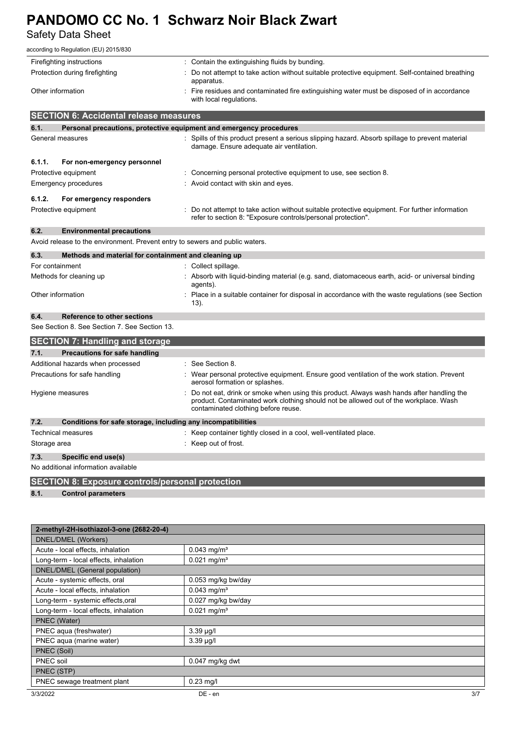Safety Data Sheet

|                                            | according to Regulation (EU) 2015/830                                        |                                                                                                                                                                                                                         |  |  |  |
|--------------------------------------------|------------------------------------------------------------------------------|-------------------------------------------------------------------------------------------------------------------------------------------------------------------------------------------------------------------------|--|--|--|
| Firefighting instructions                  |                                                                              | : Contain the extinguishing fluids by bunding.                                                                                                                                                                          |  |  |  |
| Protection during firefighting             |                                                                              | Do not attempt to take action without suitable protective equipment. Self-contained breathing<br>apparatus.                                                                                                             |  |  |  |
| Other information                          |                                                                              | : Fire residues and contaminated fire extinguishing water must be disposed of in accordance<br>with local regulations.                                                                                                  |  |  |  |
|                                            | <b>SECTION 6: Accidental release measures</b>                                |                                                                                                                                                                                                                         |  |  |  |
| 6.1.                                       |                                                                              | Personal precautions, protective equipment and emergency procedures                                                                                                                                                     |  |  |  |
| General measures                           |                                                                              | : Spills of this product present a serious slipping hazard. Absorb spillage to prevent material<br>damage. Ensure adequate air ventilation.                                                                             |  |  |  |
| 6.1.1.                                     | For non-emergency personnel                                                  |                                                                                                                                                                                                                         |  |  |  |
| Protective equipment                       |                                                                              | : Concerning personal protective equipment to use, see section 8.                                                                                                                                                       |  |  |  |
| <b>Emergency procedures</b>                |                                                                              | : Avoid contact with skin and eyes.                                                                                                                                                                                     |  |  |  |
| 6.1.2.                                     | For emergency responders                                                     |                                                                                                                                                                                                                         |  |  |  |
| Protective equipment                       |                                                                              | : Do not attempt to take action without suitable protective equipment. For further information<br>refer to section 8: "Exposure controls/personal protection".                                                          |  |  |  |
| 6.2.                                       | <b>Environmental precautions</b>                                             |                                                                                                                                                                                                                         |  |  |  |
|                                            | Avoid release to the environment. Prevent entry to sewers and public waters. |                                                                                                                                                                                                                         |  |  |  |
| 6.3.                                       | Methods and material for containment and cleaning up                         |                                                                                                                                                                                                                         |  |  |  |
| For containment                            |                                                                              | : Collect spillage.                                                                                                                                                                                                     |  |  |  |
| Methods for cleaning up                    |                                                                              | : Absorb with liquid-binding material (e.g. sand, diatomaceous earth, acid- or universal binding<br>agents).                                                                                                            |  |  |  |
| Other information                          |                                                                              | Place in a suitable container for disposal in accordance with the waste regulations (see Section<br>13).                                                                                                                |  |  |  |
| 6.4.<br><b>Reference to other sections</b> |                                                                              |                                                                                                                                                                                                                         |  |  |  |
|                                            | See Section 8. See Section 7. See Section 13.                                |                                                                                                                                                                                                                         |  |  |  |
|                                            | <b>SECTION 7: Handling and storage</b>                                       |                                                                                                                                                                                                                         |  |  |  |
| 7.1.                                       | <b>Precautions for safe handling</b>                                         |                                                                                                                                                                                                                         |  |  |  |
|                                            | Additional hazards when processed                                            | : See Section 8.                                                                                                                                                                                                        |  |  |  |
|                                            | Precautions for safe handling                                                | Wear personal protective equipment. Ensure good ventilation of the work station. Prevent<br>aerosol formation or splashes.                                                                                              |  |  |  |
| Hygiene measures                           |                                                                              | Do not eat, drink or smoke when using this product. Always wash hands after handling the<br>product. Contaminated work clothing should not be allowed out of the workplace. Wash<br>contaminated clothing before reuse. |  |  |  |
| 7.2.                                       | Conditions for safe storage, including any incompatibilities                 |                                                                                                                                                                                                                         |  |  |  |
| Technical measures                         |                                                                              | : Keep container tightly closed in a cool, well-ventilated place.                                                                                                                                                       |  |  |  |
| Storage area                               |                                                                              | : Keep out of frost.                                                                                                                                                                                                    |  |  |  |
| 7.3.                                       | Specific end use(s)                                                          |                                                                                                                                                                                                                         |  |  |  |
|                                            | No additional information available                                          |                                                                                                                                                                                                                         |  |  |  |

**SECTION 8: Exposure controls/personal protection**

**8.1. Control parameters**

| 2-methyl-2H-isothiazol-3-one (2682-20-4) |                           |  |
|------------------------------------------|---------------------------|--|
| DNEL/DMEL (Workers)                      |                           |  |
| Acute - local effects, inhalation        | $0.043$ mg/m <sup>3</sup> |  |
| Long-term - local effects, inhalation    | $0.021$ mg/m <sup>3</sup> |  |
| DNEL/DMEL (General population)           |                           |  |
| Acute - systemic effects, oral           | 0.053 mg/kg bw/day        |  |
| Acute - local effects, inhalation        | $0.043$ mg/m <sup>3</sup> |  |
| Long-term - systemic effects, oral       | 0.027 mg/kg bw/day        |  |
| Long-term - local effects, inhalation    | $0.021$ mg/m <sup>3</sup> |  |
| PNEC (Water)                             |                           |  |
| PNEC aqua (freshwater)                   | $3.39 \mu g/l$            |  |
| PNEC aqua (marine water)                 | $3.39$ µg/l               |  |
| PNEC (Soil)                              |                           |  |
| PNEC soil                                | 0.047 mg/kg dwt           |  |
| PNEC (STP)                               |                           |  |
| PNEC sewage treatment plant              | $0.23$ mg/l               |  |
| 3/3/2022                                 | 3/7<br>DE - en            |  |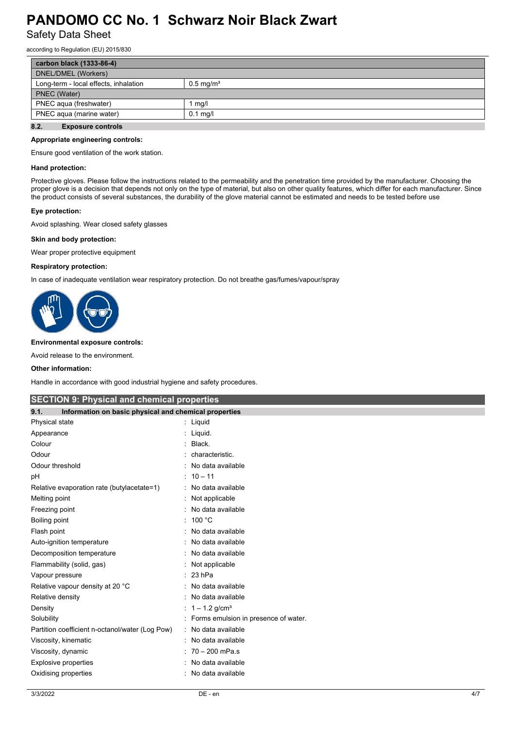Safety Data Sheet

according to Regulation (EU) 2015/830

| carbon black (1333-86-4)               |                      |  |
|----------------------------------------|----------------------|--|
| DNEL/DMEL (Workers)                    |                      |  |
| Long-term - local effects, inhalation  | $0.5 \text{ mg/m}^3$ |  |
| PNEC (Water)                           |                      |  |
| PNEC agua (freshwater)                 | mg/l                 |  |
| PNEC agua (marine water)<br>$0.1$ mg/l |                      |  |
| 8.2.<br><b>Exposure controls</b>       |                      |  |

#### **Appropriate engineering controls:**

Ensure good ventilation of the work station.

#### **Hand protection:**

Protective gloves. Please follow the instructions related to the permeability and the penetration time provided by the manufacturer. Choosing the proper glove is a decision that depends not only on the type of material, but also on other quality features, which differ for each manufacturer. Since the product consists of several substances, the durability of the glove material cannot be estimated and needs to be tested before use

#### **Eye protection:**

Avoid splashing. Wear closed safety glasses

#### **Skin and body protection:**

Wear proper protective equipment

#### **Respiratory protection:**

In case of inadequate ventilation wear respiratory protection. Do not breathe gas/fumes/vapour/spray



#### **Environmental exposure controls:**

Avoid release to the environment.

#### **Other information:**

Handle in accordance with good industrial hygiene and safety procedures.

| <b>SECTION 9: Physical and chemical properties</b>            |                                      |  |  |
|---------------------------------------------------------------|--------------------------------------|--|--|
| Information on basic physical and chemical properties<br>9.1. |                                      |  |  |
| Physical state                                                | Liquid                               |  |  |
| Appearance                                                    | Liquid.                              |  |  |
| Colour                                                        | Black.                               |  |  |
| Odour                                                         | characteristic.                      |  |  |
| Odour threshold                                               | No data available                    |  |  |
| рH                                                            | $10 - 11$                            |  |  |
| Relative evaporation rate (butylacetate=1)                    | No data available                    |  |  |
| Melting point                                                 | Not applicable                       |  |  |
| Freezing point                                                | No data available                    |  |  |
| Boiling point                                                 | 100 °C                               |  |  |
| Flash point                                                   | No data available                    |  |  |
| Auto-ignition temperature                                     | No data available                    |  |  |
| Decomposition temperature                                     | No data available                    |  |  |
| Flammability (solid, gas)                                     | Not applicable                       |  |  |
| Vapour pressure                                               | 23 hPa                               |  |  |
| Relative vapour density at 20 °C                              | No data available                    |  |  |
| Relative density                                              | No data available                    |  |  |
| Density                                                       | : $1 - 1.2$ g/cm <sup>3</sup>        |  |  |
| Solubility                                                    | Forms emulsion in presence of water. |  |  |
| Partition coefficient n-octanol/water (Log Pow)               | No data available                    |  |  |
| Viscosity, kinematic                                          | No data available                    |  |  |
| Viscosity, dynamic                                            | $70 - 200$ mPa.s                     |  |  |
| <b>Explosive properties</b>                                   | No data available                    |  |  |
| Oxidising properties                                          | No data available                    |  |  |
|                                                               |                                      |  |  |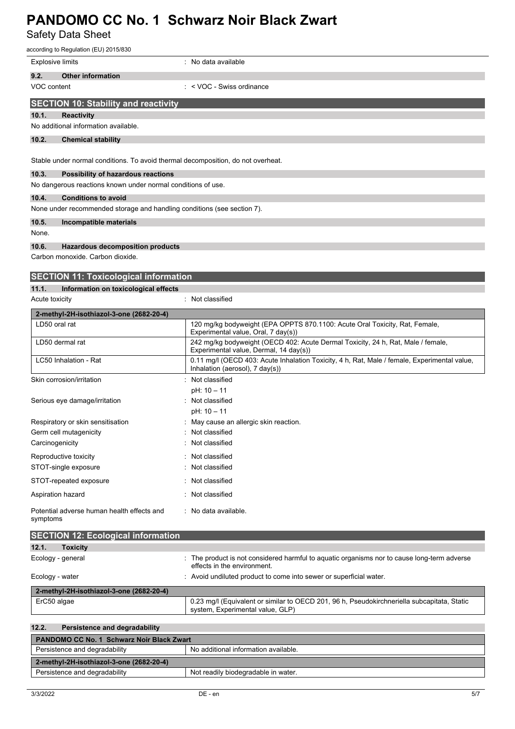Safety Data Sheet

|                         | according to Regulation (EU) 2015/830                                            |                                                                                                                            |
|-------------------------|----------------------------------------------------------------------------------|----------------------------------------------------------------------------------------------------------------------------|
| <b>Explosive limits</b> |                                                                                  | : No data available                                                                                                        |
| 9.2.                    | <b>Other information</b>                                                         |                                                                                                                            |
| VOC content             |                                                                                  | : < VOC - Swiss ordinance                                                                                                  |
|                         | <b>SECTION 10: Stability and reactivity</b>                                      |                                                                                                                            |
| 10.1.                   | <b>Reactivity</b>                                                                |                                                                                                                            |
|                         | No additional information available.                                             |                                                                                                                            |
| 10.2.                   | <b>Chemical stability</b>                                                        |                                                                                                                            |
|                         |                                                                                  |                                                                                                                            |
|                         | Stable under normal conditions. To avoid thermal decomposition, do not overheat. |                                                                                                                            |
| 10.3.                   | Possibility of hazardous reactions                                               |                                                                                                                            |
|                         | No dangerous reactions known under normal conditions of use.                     |                                                                                                                            |
| 10.4.                   | <b>Conditions to avoid</b>                                                       |                                                                                                                            |
|                         | None under recommended storage and handling conditions (see section 7).          |                                                                                                                            |
| 10.5.                   | Incompatible materials                                                           |                                                                                                                            |
| None.                   |                                                                                  |                                                                                                                            |
| 10.6.                   | <b>Hazardous decomposition products</b>                                          |                                                                                                                            |
|                         | Carbon monoxide. Carbon dioxide.                                                 |                                                                                                                            |
|                         | <b>SECTION 11: Toxicological information</b>                                     |                                                                                                                            |
| 11.1.                   | Information on toxicological effects                                             |                                                                                                                            |
| Acute toxicity          |                                                                                  | : Not classified                                                                                                           |
|                         | 2-methyl-2H-isothiazol-3-one (2682-20-4)                                         |                                                                                                                            |
|                         | LD50 oral rat                                                                    | 120 mg/kg bodyweight (EPA OPPTS 870.1100: Acute Oral Toxicity, Rat, Female,<br>Experimental value, Oral, 7 day(s))         |
|                         | LD50 dermal rat                                                                  | 242 mg/kg bodyweight (OECD 402: Acute Dermal Toxicity, 24 h, Rat, Male / female,<br>Experimental value, Dermal, 14 day(s)) |
|                         | LC50 Inhalation - Rat                                                            | 0.11 mg/l (OECD 403: Acute Inhalation Toxicity, 4 h, Rat, Male / female, Experimental value,                               |
|                         | Skin corrosion/irritation                                                        | Inhalation (aerosol), 7 day(s))<br>Not classified                                                                          |
|                         |                                                                                  | pH: 10 - 11                                                                                                                |
|                         | Serious eye damage/irritation                                                    | Not classified                                                                                                             |
|                         |                                                                                  | pH: 10 – 11                                                                                                                |
|                         | Respiratory or skin sensitisation                                                | May cause an allergic skin reaction.                                                                                       |
|                         | Germ cell mutagenicity                                                           | Not classified                                                                                                             |
| Carcinogenicity         |                                                                                  | Not classified                                                                                                             |
|                         | Reproductive toxicity                                                            | Not classified<br>Not classified                                                                                           |
|                         | STOT-single exposure                                                             |                                                                                                                            |
|                         | STOT-repeated exposure                                                           | Not classified                                                                                                             |
|                         | Aspiration hazard                                                                | Not classified                                                                                                             |
| symptoms                | Potential adverse human health effects and                                       | : No data available.                                                                                                       |
|                         | <b>SECTION 12: Ecological information</b>                                        |                                                                                                                            |
| 12.1.                   | <b>Toxicity</b>                                                                  |                                                                                                                            |
|                         | Ecology - general                                                                | The product is not considered harmful to aquatic organisms nor to cause long-term adverse<br>effects in the environment.   |
| Ecology - water         |                                                                                  | : Avoid undiluted product to come into sewer or superficial water.                                                         |

| 2-methyl-2H-isothiazol-3-one (2682-20-4) |                                                                                                                                 |
|------------------------------------------|---------------------------------------------------------------------------------------------------------------------------------|
| ErC50 algae                              | 0.23 mg/l (Equivalent or similar to OECD 201, 96 h, Pseudokirchneriella subcapitata, Static<br>system, Experimental value, GLP) |
|                                          |                                                                                                                                 |

### **12.2. Persistence and degradability PANDOMO CC No. 1 Schwarz Noir Black Zwart** Persistence and degradability No additional information available. **2-methyl-2H-isothiazol-3-one (2682-20-4)** Persistence and degradability **Not readily biodegradable in water.**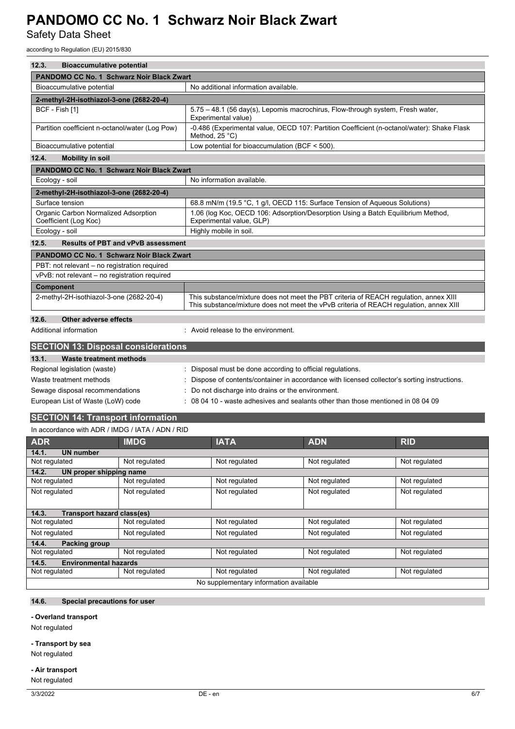Safety Data Sheet

according to Regulation (EU) 2015/830

| 12.3.<br><b>Bioaccumulative potential</b>                     |                                                                                                                                                                                 |  |
|---------------------------------------------------------------|---------------------------------------------------------------------------------------------------------------------------------------------------------------------------------|--|
| PANDOMO CC No. 1 Schwarz Noir Black Zwart                     |                                                                                                                                                                                 |  |
| Bioaccumulative potential                                     | No additional information available.                                                                                                                                            |  |
| 2-methyl-2H-isothiazol-3-one (2682-20-4)                      |                                                                                                                                                                                 |  |
| BCF - Fish [1]                                                | 5.75 - 48.1 (56 day(s), Lepomis macrochirus, Flow-through system, Fresh water,<br>Experimental value)                                                                           |  |
| Partition coefficient n-octanol/water (Log Pow)               | -0.486 (Experimental value, OECD 107: Partition Coefficient (n-octanol/water): Shake Flask<br>Method, $25^{\circ}$ C)                                                           |  |
| Bioaccumulative potential                                     | Low potential for bioaccumulation (BCF $<$ 500).                                                                                                                                |  |
| 12.4.<br><b>Mobility in soil</b>                              |                                                                                                                                                                                 |  |
| <b>PANDOMO CC No. 1 Schwarz Noir Black Zwart</b>              |                                                                                                                                                                                 |  |
| Ecology - soil                                                | No information available.                                                                                                                                                       |  |
| 2-methyl-2H-isothiazol-3-one (2682-20-4)                      |                                                                                                                                                                                 |  |
| Surface tension                                               | 68.8 mN/m (19.5 °C, 1 g/l, OECD 115: Surface Tension of Aqueous Solutions)                                                                                                      |  |
| Organic Carbon Normalized Adsorption<br>Coefficient (Log Koc) | 1.06 (log Koc, OECD 106: Adsorption/Desorption Using a Batch Equilibrium Method,<br>Experimental value, GLP)                                                                    |  |
| Ecology - soil                                                | Highly mobile in soil.                                                                                                                                                          |  |
| 12.5.<br><b>Results of PBT and vPvB assessment</b>            |                                                                                                                                                                                 |  |
| <b>PANDOMO CC No. 1 Schwarz Noir Black Zwart</b>              |                                                                                                                                                                                 |  |
| PBT: not relevant - no registration required                  |                                                                                                                                                                                 |  |
| vPvB: not relevant - no registration required                 |                                                                                                                                                                                 |  |
| <b>Component</b>                                              |                                                                                                                                                                                 |  |
| 2-methyl-2H-isothiazol-3-one (2682-20-4)                      | This substance/mixture does not meet the PBT criteria of REACH regulation, annex XIII<br>This substance/mixture does not meet the vPvB criteria of REACH regulation, annex XIII |  |
| 12.6.<br>Other adverse effects                                |                                                                                                                                                                                 |  |
| Additional information                                        | : Avoid release to the environment.                                                                                                                                             |  |
| <b>SECTION 13: Disposal considerations</b>                    |                                                                                                                                                                                 |  |
| <b>Waste treatment methods</b><br>13.1.                       |                                                                                                                                                                                 |  |
| Regional legislation (waste)                                  | Disposal must be done according to official regulations.                                                                                                                        |  |
| Waste treatment methods                                       | Dispose of contents/container in accordance with licensed collector's sorting instructions.                                                                                     |  |
| Sewage disposal recommendations                               | Do not discharge into drains or the environment.                                                                                                                                |  |
| European List of Waste (LoW) code                             | 08 04 10 - waste adhesives and sealants other than those mentioned in 08 04 09                                                                                                  |  |
| <b>SECTION 14: Transport information</b>                      |                                                                                                                                                                                 |  |

#### In accordance with ADR / IMDG / IATA / ADN / RID

| <b>ADR</b>                                 | <b>IMDG</b>   | <b>IATA</b>   | <b>ADN</b>    | <b>RID</b>    |
|--------------------------------------------|---------------|---------------|---------------|---------------|
| 14.1.<br><b>UN number</b>                  |               |               |               |               |
| Not regulated                              | Not regulated | Not regulated | Not regulated | Not regulated |
| 14.2.<br>UN proper shipping name           |               |               |               |               |
| Not regulated                              | Not regulated | Not regulated | Not regulated | Not regulated |
| Not regulated                              | Not regulated | Not regulated | Not regulated | Not regulated |
|                                            |               |               |               |               |
| <b>Transport hazard class(es)</b><br>14.3. |               |               |               |               |
| Not regulated                              | Not regulated | Not regulated | Not regulated | Not regulated |
| Not regulated                              | Not regulated | Not regulated | Not regulated | Not regulated |
| 14.4.<br><b>Packing group</b>              |               |               |               |               |
| Not regulated                              | Not regulated | Not regulated | Not regulated | Not regulated |
| <b>Environmental hazards</b><br>14.5.      |               |               |               |               |
| Not regulated                              | Not regulated | Not regulated | Not regulated | Not regulated |
| No supplementary information available     |               |               |               |               |

### **14.6. Special precautions for user**

#### **- Overland transport**

Not regulated

#### **- Transport by sea**

Not regulated

#### **- Air transport**